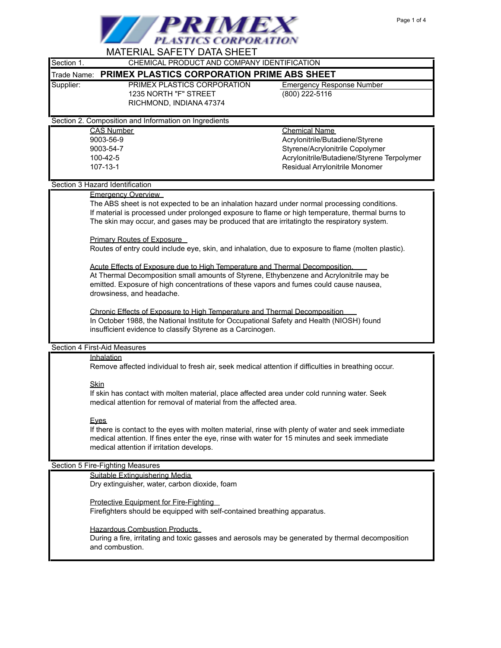

| MAI ERIAL SAFETY DATA SHEET                                                                                                                                                                                                                                                                     |                                                                                                     |  |
|-------------------------------------------------------------------------------------------------------------------------------------------------------------------------------------------------------------------------------------------------------------------------------------------------|-----------------------------------------------------------------------------------------------------|--|
| Section 1.                                                                                                                                                                                                                                                                                      | CHEMICAL PRODUCT AND COMPANY IDENTIFICATION                                                         |  |
| Trade Name:                                                                                                                                                                                                                                                                                     | PRIMEX PLASTICS CORPORATION PRIME ABS SHEET                                                         |  |
| Supplier:<br>PRIMEX PLASTICS CORPORATION<br>1235 NORTH "F" STREET<br>RICHMOND, INDIANA 47374                                                                                                                                                                                                    | <b>Emergency Response Number</b><br>(800) 222-5116                                                  |  |
| Section 2. Composition and Information on Ingredients                                                                                                                                                                                                                                           |                                                                                                     |  |
| <b>CAS Number</b>                                                                                                                                                                                                                                                                               | Chemical Name                                                                                       |  |
| 9003-56-9                                                                                                                                                                                                                                                                                       | Acrylonitrile/Butadiene/Styrene                                                                     |  |
| 9003-54-7                                                                                                                                                                                                                                                                                       | Styrene/Acrylonitrile Copolymer                                                                     |  |
| 100-42-5                                                                                                                                                                                                                                                                                        | Acrylonitrile/Butadiene/Styrene Terpolymer                                                          |  |
| 107-13-1                                                                                                                                                                                                                                                                                        | Residual Arrylonitrile Monomer                                                                      |  |
| Section 3 Hazard Identification                                                                                                                                                                                                                                                                 |                                                                                                     |  |
| <b>Emergency Overview</b>                                                                                                                                                                                                                                                                       |                                                                                                     |  |
| The ABS sheet is not expected to be an inhalation hazard under normal processing conditions.<br>If material is processed under prolonged exposure to flame or high temperature, thermal burns to<br>The skin may occur, and gases may be produced that are irritatingto the respiratory system. |                                                                                                     |  |
| <b>Primary Routes of Exposure</b><br>Routes of entry could include eye, skin, and inhalation, due to exposure to flame (molten plastic).                                                                                                                                                        |                                                                                                     |  |
| Acute Effects of Exposure due to High Temperature and Thermal Decomposition.<br>At Thermal Decomposition small amounts of Styrene, Ethybenzene and Acrylonitrile may be<br>emitted. Exposure of high concentrations of these vapors and fumes could cause nausea,<br>drowsiness, and headache.  |                                                                                                     |  |
| Chronic Effects of Exposure to High Temperature and Thermal Decomposition<br>In October 1988, the National Institute for Occupational Safety and Health (NIOSH) found<br>insufficient evidence to classify Styrene as a Carcinogen.                                                             |                                                                                                     |  |
| Section 4 First-Aid Measures                                                                                                                                                                                                                                                                    |                                                                                                     |  |
| Inhalation                                                                                                                                                                                                                                                                                      | Remove affected individual to fresh air, seek medical attention if difficulties in breathing occur. |  |
| Skin<br>If skin has contact with molten material, place affected area under cold running water. Seek<br>medical attention for removal of material from the affected area.                                                                                                                       |                                                                                                     |  |
| <b>Eyes</b><br>If there is contact to the eyes with molten material, rinse with plenty of water and seek immediate<br>medical attention. If fines enter the eye, rinse with water for 15 minutes and seek immediate<br>medical attention if irritation develops.                                |                                                                                                     |  |
| Section 5 Fire-Fighting Measures                                                                                                                                                                                                                                                                |                                                                                                     |  |
| Suitable Extinguishering Media<br>Dry extinguisher, water, carbon dioxide, foam                                                                                                                                                                                                                 |                                                                                                     |  |
| Protective Equipment for Fire-Fighting<br>Firefighters should be equipped with self-contained breathing apparatus.                                                                                                                                                                              |                                                                                                     |  |
| <b>Hazardous Combustion Products</b><br>During a fire, irritating and toxic gasses and aerosols may be generated by thermal decomposition                                                                                                                                                       |                                                                                                     |  |

and combustion.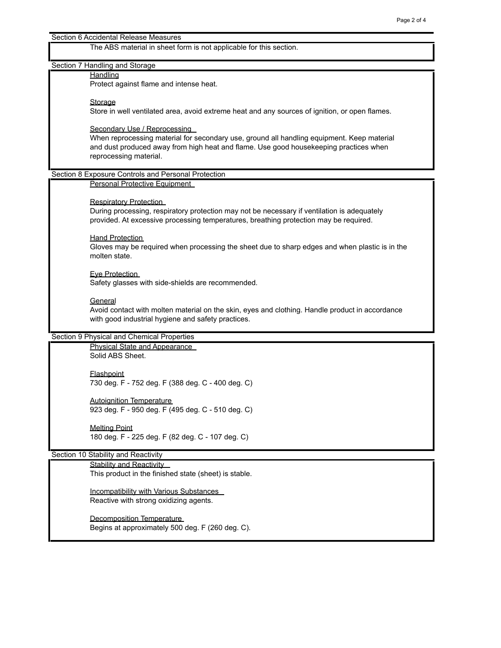## Section 6 Accidental Release Measures

The ABS material in sheet form is not applicable for this section.

# Section 7 Handling and Storage

#### **Handling**

Protect against flame and intense heat.

#### **Storage**

Store in well ventilated area, avoid extreme heat and any sources of ignition, or open flames.

#### Secondary Use / Reprocessing

When reprocessing material for secondary use, ground all handling equipment. Keep material and dust produced away from high heat and flame. Use good housekeeping practices when reprocessing material.

## Section 8 Exposure Controls and Personal Protection

Personal Protective Equipment

## Respiratory Protection

During processing, respiratory protection may not be necessary if ventilation is adequately provided. At excessive processing temperatures, breathing protection may be required.

## **Hand Protection**

Gloves may be required when processing the sheet due to sharp edges and when plastic is in the molten state.

#### Eye Protection

Safety glasses with side-shields are recommended.

# **General**

Avoid contact with molten material on the skin, eyes and clothing. Handle product in accordance with good industrial hygiene and safety practices.

### Section 9 Physical and Chemical Properties

Physical State and Appearance Solid ABS Sheet.

**Flashpoint** 730 deg. F - 752 deg. F (388 deg. C - 400 deg. C)

Autoignition Temperature 923 deg. F - 950 deg. F (495 deg. C - 510 deg. C)

Melting Point 180 deg. F - 225 deg. F (82 deg. C - 107 deg. C)

# Section 10 Stability and Reactivity

## Stability and Reactivity

This product in the finished state (sheet) is stable.

Incompatibility with Various Substances Reactive with strong oxidizing agents.

Decomposition Temperature Begins at approximately 500 deg. F (260 deg. C).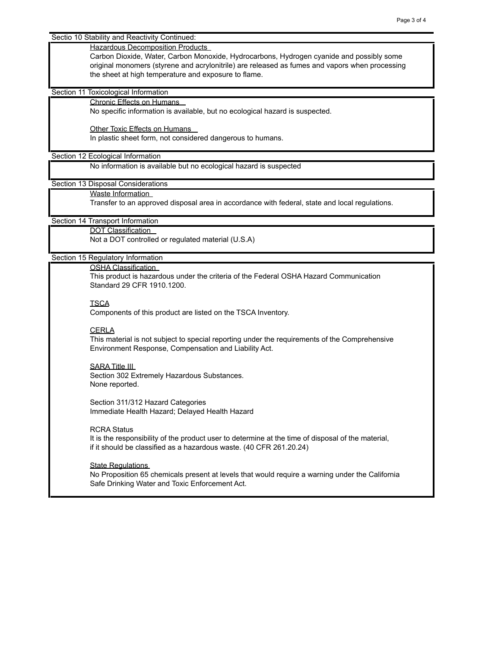Sectio 10 Stability and Reactivity Continued:

#### Hazardous Decomposition Products

Carbon Dioxide, Water, Carbon Monoxide, Hydrocarbons, Hydrogen cyanide and possibly some original monomers (styrene and acrylonitrile) are released as fumes and vapors when processing the sheet at high temperature and exposure to flame.

Section 11 Toxicological Information

## Chronic Effects on Humans

No specific information is available, but no ecological hazard is suspected.

Other Toxic Effects on Humans

In plastic sheet form, not considered dangerous to humans.

#### Section 12 Ecological Information

No information is available but no ecological hazard is suspected

Section 13 Disposal Considerations

Waste Information

Transfer to an approved disposal area in accordance with federal, state and local regulations.

#### Section 14 Transport Information

DOT Classification

Not a DOT controlled or regulated material (U.S.A)

## Section 15 Regulatory Information

OSHA Classification

This product is hazardous under the criteria of the Federal OSHA Hazard Communication Standard 29 CFR 1910.1200.

#### **TSCA**

Components of this product are listed on the TSCA Inventory.

## **CERLA**

This material is not subject to special reporting under the requirements of the Comprehensive Environment Response, Compensation and Liability Act.

# SARA Title III

Section 302 Extremely Hazardous Substances. None reported.

Section 311/312 Hazard Categories Immediate Health Hazard; Delayed Health Hazard

#### RCRA Status

It is the responsibility of the product user to determine at the time of disposal of the material, if it should be classified as a hazardous waste. (40 CFR 261.20.24)

#### **State Regulations**

No Proposition 65 chemicals present at levels that would require a warning under the California Safe Drinking Water and Toxic Enforcement Act.